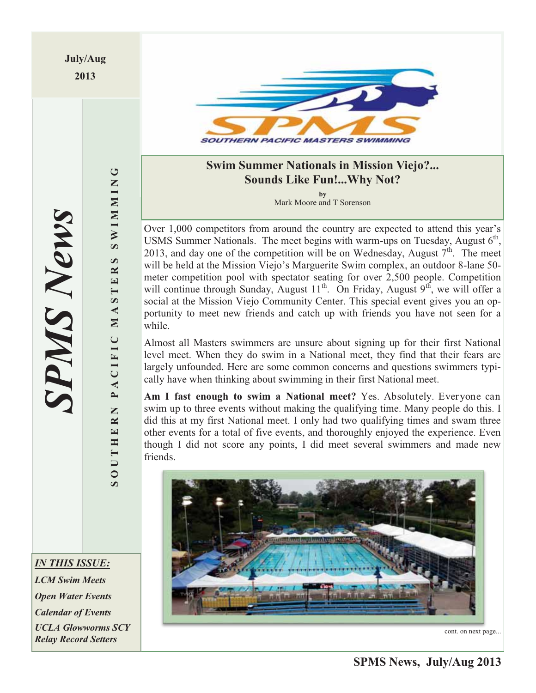**July/Aug 2013** 



## **Swim Summer Nationals in Mission Viejo?... Sounds Like Fun!...Why Not?**

**by** Mark Moore and T Sorenson

Over 1,000 competitors from around the country are expected to attend this year's USMS Summer Nationals. The meet begins with warm-ups on Tuesday, August  $6<sup>th</sup>$ , 2013, and day one of the competition will be on Wednesday, August  $7<sup>th</sup>$ . The meet will be held at the Mission Viejo's Marguerite Swim complex, an outdoor 8-lane 50 meter competition pool with spectator seating for over 2,500 people. Competition will continue through Sunday, August  $11^{th}$ . On Friday, August  $9^{th}$ , we will offer a social at the Mission Viejo Community Center. This special event gives you an opportunity to meet new friends and catch up with friends you have not seen for a while.

Almost all Masters swimmers are unsure about signing up for their first National level meet. When they do swim in a National meet, they find that their fears are largely unfounded. Here are some common concerns and questions swimmers typically have when thinking about swimming in their first National meet.

**Am I fast enough to swim a National meet?** Yes. Absolutely. Everyone can swim up to three events without making the qualifying time. Many people do this. I did this at my first National meet. I only had two qualifying times and swam three other events for a total of five events, and thoroughly enjoyed the experience. Even though I did not score any points, I did meet several swimmers and made new friends.



cont. on next page...

**SOUTHERN PACIFIC MASTERS SWIMMING**

PACIFIC

SOUTHERN

MAST

 $\bigcup$ 

**NIMMINS** 

 $\boldsymbol{\omega}$  $E$ R

*IN THIS ISSUE:* 

*LCM Swim Meets Open Water Events Calendar of Events UCLA Glowworms SCY Relay Record Setters*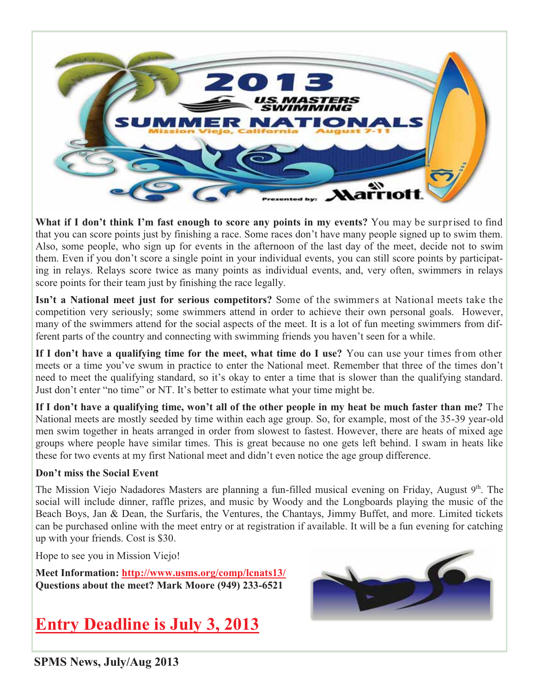

**What if I don't think I'm fast enough to score any points in my events?** You may be surprised to find that you can score points just by finishing a race. Some races don't have many people signed up to swim them. Also, some people, who sign up for events in the afternoon of the last day of the meet, decide not to swim them. Even if you don't score a single point in your individual events, you can still score points by participating in relays. Relays score twice as many points as individual events, and, very often, swimmers in relays score points for their team just by finishing the race legally.

**Isn't a National meet just for serious competitors?** Some of the swimmers at National meets take the competition very seriously; some swimmers attend in order to achieve their own personal goals. However, many of the swimmers attend for the social aspects of the meet. It is a lot of fun meeting swimmers from different parts of the country and connecting with swimming friends you haven't seen for a while.

**If I don't have a qualifying time for the meet, what time do I use?** You can use your times from other meets or a time you've swum in practice to enter the National meet. Remember that three of the times don't need to meet the qualifying standard, so it's okay to enter a time that is slower than the qualifying standard. Just don't enter "no time" or NT. It's better to estimate what your time might be.

**If I don't have a qualifying time, won't all of the other people in my heat be much faster than me?** The National meets are mostly seeded by time within each age group. So, for example, most of the 35-39 year-old men swim together in heats arranged in order from slowest to fastest. However, there are heats of mixed age groups where people have similar times. This is great because no one gets left behind. I swam in heats like these for two events at my first National meet and didn't even notice the age group difference.

### **Don't miss the Social Event**

The Mission Viejo Nadadores Masters are planning a fun-filled musical evening on Friday, August 9<sup>th</sup>. The social will include dinner, raffle prizes, and music by Woody and the Longboards playing the music of the Beach Boys, Jan & Dean, the Surfaris, the Ventures, the Chantays, Jimmy Buffet, and more. Limited tickets can be purchased online with the meet entry or at registration if available. It will be a fun evening for catching up with your friends. Cost is \$30.

Hope to see you in Mission Viejo!

**Meet Information: http://www.usms.org/comp/lcnats13/ Questions about the meet? Mark Moore (949) 233-6521** 

## **Entry Deadline is July 3, 2013**



**SPMS News, July/Aug 2013**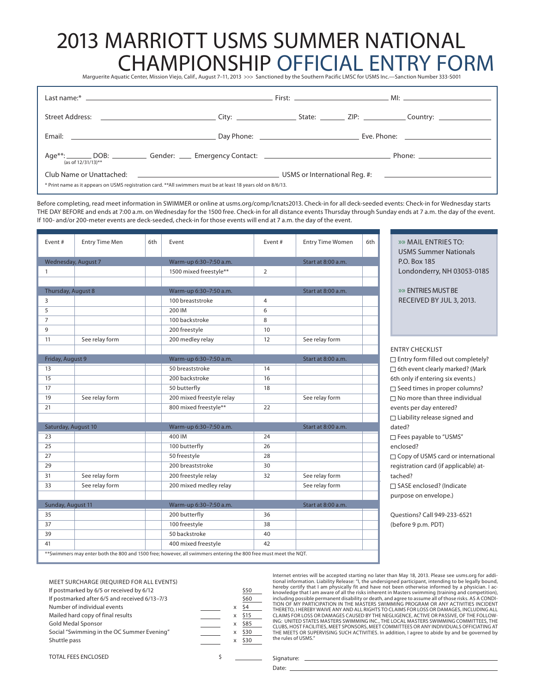# 2013 MARRIOTT USMS SUMMER NATIONAL CHAMPIONSHIP OFFICIAL ENTRY FORM

Marguerite Aquatic Center, Mission Viejo, Calif., August 7–11, 2013 >>> Sanctioned by the Southern Pacific LMSC for USMS Inc. —Sanction Number 333-S001

| (as of 12/31/13)**                                                                                             |                                                                                                                         |  |  |  |
|----------------------------------------------------------------------------------------------------------------|-------------------------------------------------------------------------------------------------------------------------|--|--|--|
| Club Name or Unattached:                                                                                       | <b>Example 2018</b> The Company of the Company of the Company of the Company of the Company of the Company of the Compa |  |  |  |
| * Print name as it appears on USMS registration card. ** All swimmers must be at least 18 years old on 8/6/13. |                                                                                                                         |  |  |  |

Before completing, read meet information in SWIMMER or online at usms.org/comp/lcnats2013. Check-in for all deck-seeded events: Check-in for Wednesday starts THE DAY BEFORE and ends at 7:00 a.m. on Wednesday for the 1500 free. Check-in for all distance events Thursday through Sunday ends at 7 a.m. the day of the event. If 100- and/or 200-meter events are deck-seeded, check-in for those events will end at 7 a.m. the day of the event.

| Event#              | <b>Entry Time Men</b> | 6th | Event                     | Event#           | <b>Entry Time Women</b> | 6th |
|---------------------|-----------------------|-----|---------------------------|------------------|-------------------------|-----|
|                     | Wednesday, August 7   |     | Warm-up 6:30-7:50 a.m.    |                  | Start at 8:00 a.m.      |     |
| $\mathbf{1}$        |                       |     | 1500 mixed freestyle**    | 2                |                         |     |
|                     |                       |     |                           |                  |                         |     |
| Thursday, August 8  |                       |     | Warm-up 6:30-7:50 a.m.    |                  | Start at 8:00 a.m.      |     |
| 3                   |                       |     | 100 breaststroke          | 4                |                         |     |
| 5                   |                       |     | 200 IM                    | 6                |                         |     |
| $\overline{7}$      |                       |     | 100 backstroke            | 8                |                         |     |
| 9                   |                       |     | 200 freestyle             | 10 <sup>10</sup> |                         |     |
| 11                  | See relay form        |     | 200 medley relay          | 12               | See relay form          |     |
|                     |                       |     |                           |                  |                         |     |
| Friday, August 9    |                       |     | Warm-up 6:30-7:50 a.m.    |                  | Start at 8:00 a.m.      |     |
| 13                  |                       |     | 50 breaststroke           | 14               |                         |     |
| 15                  |                       |     | 200 backstroke            | 16               |                         |     |
| 17                  |                       |     | 50 butterfly              | 18               |                         |     |
| 19                  | See relay form        |     | 200 mixed freestyle relay |                  | See relay form          |     |
| 21                  |                       |     | 800 mixed freestyle**     | 22               |                         |     |
|                     |                       |     |                           |                  |                         |     |
| Saturday, August 10 |                       |     | Warm-up 6:30-7:50 a.m.    |                  | Start at 8:00 a.m.      |     |
| 23                  |                       |     | 400 IM                    | 24               |                         |     |
| 25                  |                       |     | 100 butterfly             | 26               |                         |     |
| 27                  |                       |     | 50 freestyle              | 28               |                         |     |
| 29                  |                       |     | 200 breaststroke          | 30               |                         |     |
| 31                  | See relay form        |     | 200 freestyle relay       | 32               | See relay form          |     |
| 33                  | See relay form        |     | 200 mixed medley relay    |                  | See relay form          |     |
|                     |                       |     |                           |                  |                         |     |
| Sunday, August 11   |                       |     | Warm-up 6:30-7:50 a.m.    |                  | Start at 8:00 a.m.      |     |
| 35                  |                       |     | 200 butterfly             | 36               |                         |     |
| 37                  |                       |     | 100 freestyle             | 38               |                         |     |
| 39                  |                       |     | 50 backstroke             | 40               |                         |     |
| 41                  |                       |     | 400 mixed freestyle       | 42               |                         |     |

» » MAIL ENTRIES TO: USMS Summer Nationals P.O. Box 185 Londonderry, NH 03053-0185

» » ENTRIES MUST BE RECEIVED BY JUL 3, 2013.

**TRY CHECKLIST**  Entry form filled out completely? 6th event clearly marked? (Mark only if entering six events.) Seed times in proper columns? No more than three individual ents per day entered? Liability release signed and ed? Fees payable to "USMS" enclosed? Copy of USMS card or international istration card (if applicable) athed? SASE enclosed? (Indicate rpose on envelope.) estions? Call 949-233-6521 fore 9 p.m. PDT)

MEET SURCHARGE (REQUIRED FOR ALL EVENTS) If postmarked by 6/5 or received by 6/12 If postmarked after  $6/5$  and received  $6/13-7/3$ Number of individual events Mailed hard copy of final results Gold Medal Sponsor Social "Swimming in the OC Summer Evening" Shuttle pass

|   | \$50 |
|---|------|
|   | \$60 |
| X | \$4  |
| X | \$15 |
| X | \$85 |
| X | \$30 |
| x | \$30 |
|   |      |
|   |      |

Internet entries will be accepted starting no later than May 18, 2013. Please see usms.org for additional information. Liability Release: "I, the undersigned participant, intending to be legally bound, hereby certify that I am physically fit and have not been otherwise informed by a physician. I acknowledge that I am aware of all the risks inherent in Masters swimming (training and competition),<br>including possible permanent disability or death, and agree to assume all of those risks. AS A CONDI-<br>TION OF MY PARTICIPA THERETO, I HEREBY WAIVE ANY AND ALL RIGHTS TO CLAIMS FOR LOSS OR DAMAGES, INCLUDING ALL CLAIMS FOR LOSS OR DAMAGES CAUSED BY THE NEGLIGENCE, ACTIVE OR PASSIVE, OF THE FOLLOW-<br>ING: UNITED STATES MASTERS SWIMMING INC., THE LOCAL MASTERS SWIMMING COMMITTEES, THE<br>CLUBS, HOST FACILITIES, MEET SPONSORS, MEET COMMIT THE MEETS OR SUPERVISING SUCH ACTIVITIES. In addition, I agree to abide by and be governed by the rules of USMS."

TOTAL FEES ENCLOSED \$

Date:

Signature: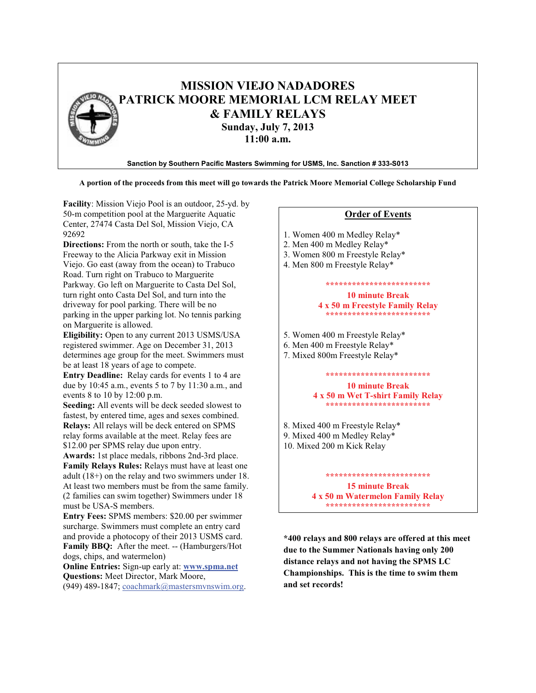

#### **A portion of the proceeds from this meet will go towards the Patrick Moore Memorial College Scholarship Fund**

**Facility**: Mission Viejo Pool is an outdoor, 25-yd. by 50-m competition pool at the Marguerite Aquatic Center, 27474 Casta Del Sol, Mission Viejo, CA 92692

**Directions:** From the north or south, take the I-5 Freeway to the Alicia Parkway exit in Mission Viejo. Go east (away from the ocean) to Trabuco Road. Turn right on Trabuco to Marguerite Parkway. Go left on Marguerite to Casta Del Sol, turn right onto Casta Del Sol, and turn into the driveway for pool parking. There will be no parking in the upper parking lot. No tennis parking on Marguerite is allowed.

**Eligibility:** Open to any current 2013 USMS/USA registered swimmer. Age on December 31, 2013 determines age group for the meet. Swimmers must be at least 18 years of age to compete.

**Entry Deadline:** Relay cards for events 1 to 4 are due by 10:45 a.m., events 5 to 7 by 11:30 a.m., and events 8 to 10 by 12:00 p.m.

**Seeding:** All events will be deck seeded slowest to fastest, by entered time, ages and sexes combined. **Relays:** All relays will be deck entered on SPMS relay forms available at the meet. Relay fees are \$12.00 per SPMS relay due upon entry.

**Awards:** 1st place medals, ribbons 2nd-3rd place. **Family Relays Rules:** Relays must have at least one adult (18+) on the relay and two swimmers under 18. At least two members must be from the same family. (2 families can swim together) Swimmers under 18 must be USA-S members.

**Entry Fees:** SPMS members: \$20.00 per swimmer surcharge. Swimmers must complete an entry card and provide a photocopy of their 2013 USMS card. **Family BBQ:** After the meet. -- (Hamburgers/Hot dogs, chips, and watermelon)

**Online Entries:** Sign-up early at: **www.spma.net Questions:** Meet Director, Mark Moore,

(949) 489-1847; coachmark@mastersmvnswim.org.

#### **Order of Events**

- 1. Women 400 m Medley Relay\*
- 2. Men 400 m Medley Relay\*
- 3. Women 800 m Freestyle Relay\*
- 4. Men 800 m Freestyle Relay\*

#### **\*\*\*\*\*\*\*\*\*\*\*\*\*\*\*\*\*\*\*\*\*\*\*\* 10 minute Break**

**4 x 50 m Freestyle Family Relay \*\*\*\*\*\*\*\*\*\*\*\*\*\*\*\*\*\*\*\*\*\*\*\***

- 5. Women 400 m Freestyle Relay\*
- 6. Men 400 m Freestyle Relay\*
- 7. Mixed 800m Freestyle Relay\*

## **\*\*\*\*\*\*\*\*\*\*\*\*\*\*\*\*\*\*\*\*\*\*\*\***

**10 minute Break 4 x 50 m Wet T-shirt Family Relay \*\*\*\*\*\*\*\*\*\*\*\*\*\*\*\*\*\*\*\*\*\*\*\***

8. Mixed 400 m Freestyle Relay\* 9. Mixed 400 m Medley Relay\* 10. Mixed 200 m Kick Relay

#### **15 minute Break 4 x 50 m Watermelon Family Relay \*\*\*\*\*\*\*\*\*\*\*\*\*\*\*\*\*\*\*\*\*\*\*\***

**\*\*\*\*\*\*\*\*\*\*\*\*\*\*\*\*\*\*\*\*\*\*\*\***

**\*400 relays and 800 relays are offered at this meet due to the Summer Nationals having only 200 distance relays and not having the SPMS LC Championships. This is the time to swim them and set records!**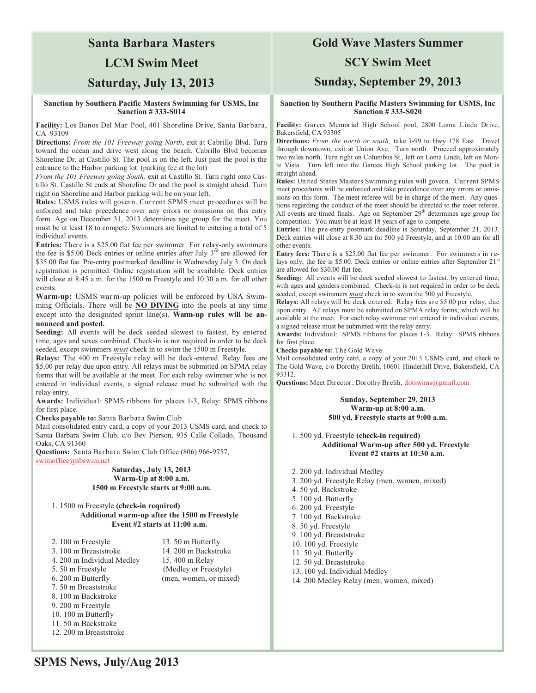### **Santa Barbara Masters**

### **LCM Swim Meet**

## **Saturday, July 13, 2013**

#### **Sanction by Southern Pacific Masters Swimming for USMS, Inc Sanction # 333-S014**

**Facility:** Los Banos Del Mar Pool, 401 Shoreline Drive, Santa Barbara, CA 93109

**Directions:** *From the 101 Freeway going North*, exit at Cabrillo Blvd. Turn toward the ocean and drive west along the beach. Cabrillo Blvd becomes Shoreline Dr. at Castillo St. The pool is on the left. Just past the pool is the entrance to the Harbor parking lot. (parking fee at the lot)

*From the 101 Freeway going South,* exit at Castillo St. Turn right onto Castillo St. Castillo St ends at Shoreline Dr and the pool is straight ahead. Turn right on Shoreline and Harbor parking will be on your left.

**Rules:** USMS rules will govern. Current SPMS meet procedures will be enforced and take precedence over any errors or omissions on this entry form. Age on December 31, 2013 determines age group for the meet. You must be at least 18 to compete. Swimmers are limited to entering a total of 5 individual events.

**Entries:** There is a \$25.00 flat fee per swimmer. For relay-only swimmers the fee is \$5.00 Deck entries or online entries after July 3<sup>rd</sup> are allowed for \$35.00 flat fee. Pre-entry postmarked deadline is Wednesday July 3. On deck registration is permitted. Online registration will be available. Deck entries will close at 8:45 a.m. for the 1500 m Freestyle and 10:30 a.m. for all other events.

**Warm-up:** USMS warm-up policies will be enforced by USA Swimming Officials. There will be **NO DIVING** into the pools at any time except into the designated sprint lane(s). **Warm-up rules will be announced and posted.** 

**Seeding:** All events will be deck seeded slowest to fastest, by entered time, ages and sexes combined. Check-in is not required in order to be deck seeded, except swimmers *must* check in to swim the 1500 m Freestyle.

**Relays:** The 400 m Freestyle relay will be deck-entered. Relay fees are \$5.00 per relay due upon entry. All relays must be submitted on SPMA relay forms that will be available at the meet. For each relay swimmer who is not entered in individual events, a signed release must be submitted with the relay entry.

**Awards:** Individual: SPMS ribbons for places 1-3, Relay: SPMS ribbons for first place.

**Checks payable to:** Santa Barbara Swim Club

Mail consolidated entry card, a copy of your 2013 USMS card, and check to Santa Barbara Swim Club, c/o Bev Pierson, 935 Calle Collado, Thousand Oaks, CA 91360

**Questions:** Santa Barbara Swim Club Office (806) 966-9757, swimoffice@sbswim.net

#### **Saturday, July 13, 2013 Warm-Up at 8:00 a.m. 1500 m Freestyle starts at 9:00 a.m.**

#### 1. 1500 m Freestyle **(check-in required) Additional warm-up after the 1500 m Freestyle Event #2 starts at 11:00 a.m.**

| 2.100 m Freestyle          | 13.50 m Butterfly      |
|----------------------------|------------------------|
| 3. 100 m Breaststroke      | 14. 200 m Backstroke   |
| 4. 200 m Individual Medley | 15.400 m Relay         |
| 5.50 m Freestyle           | (Medley or Freestyle)  |
| 6. 200 m Butterfly         | (men, women, or mixed) |
| 7. 50 m Breaststroke       |                        |
| 8. 100 m Backstroke        |                        |
| 9. 200 m Freestyle         |                        |
| 10.100 m Butterfly         |                        |
| 11.50 m Backstroke         |                        |
| 12. 200 m Breaststroke     |                        |

### **Gold Wave Masters Summer**

#### **SCY Swim Meet**

#### **Sunday, September 29, 2013**

#### **Sanction by Southern Pacific Masters Swimming for USMS, Inc Sanction # 333-S020**

**Facility:** Garces Memorial High School pool, 2800 Loma Linda Drive, Bakersfield, CA 93305

**Directions:** *From the north or south,* take I-99 to Hwy 178 East. Travel through downtown, exit at Union Ave. Turn north. Proceed approximately two miles north. Turn right on Columbus St., left on Loma Linda, left on Monte Vista. Turn left into the Garces High School parking lot. The pool is straight ahead.

**Rules:** United States Masters Swimming rules will govern. Current SPMS meet procedures will be enforced and take precedence over any errors or omissions on this form. The meet referee will be in charge of the meet. Any questions regarding the conduct of the meet should be directed to the meet referee. All events are timed finals. Age on September  $29<sup>th</sup>$  determines age group for competition. You must be at least 18 years of age to compete.

**Entries:** The pre-entry postmark deadline is Saturday, September 21, 2013. Deck entries will close at 8:30 am for 500 yd Freestyle, and at 10:00 am for all other events.

**Entry fees:** There is a \$25.00 flat fee per swimmer. For swimmers in relays only, the fee is \$5.00. Deck entries or online entries after September  $21<sup>s</sup>$ are allowed for \$30.00 flat fee.

**Seeding:** All events will be deck seeded slowest to fastest, by entered time, with ages and genders combined. Check-in is not required in order to be deck seeded, except swimmers *must* check in to swim the 500 yd Freestyle.

**Relays:** All relays will be deck entered. Relay fees are \$5.00 per relay, due upon entry. All relays must be submitted on SPMA relay forms, which will be available at the meet. For each relay swimmer not entered in individual events, a signed release must be submitted with the relay entry.

**Awards:** Individual: SPMS ribbons for places 1-3. Relay: SPMS ribbons for first place.

**Checks payable to:** The Gold Wave

Mail consolidated entry card, a copy of your 2013 USMS card, and check to The Gold Wave, c/o Dorothy Brelih, 10601 Hinderhill Drive, Bakersfield, CA 93312.

Questions: Meet Director, Dorothy Brelih, dotswims@gmail.com

#### **Sunday, September 29, 2013 Warm-up at 8:00 a.m. 500 yd. Freestyle starts at 9:00 a.m.**

1. 500 yd. Freestyle **(check-in required) Additional Warm-up after 500 yd. Freestyle Event #2 starts at 10:30 a.m.** 

- 2. 200 yd. Individual Medley
- 3. 200 yd. Freestyle Relay (men, women, mixed)
- 4. 50 yd. Backstroke
- 5. 100 yd. Butterfly
- 6. 200 yd. Freestyle
- 7. 100 yd. Backstroke
- 8. 50 yd. Freestyle
- 9. 100 yd. Breaststroke
- 10. 100 yd. Freestyle
- 11. 50 yd. Butterfly
- 12. 50 yd. Breaststroke
- 13. 100 yd. Individual Medley
- 
- 14. 200 Medley Relay (men, women, mixed)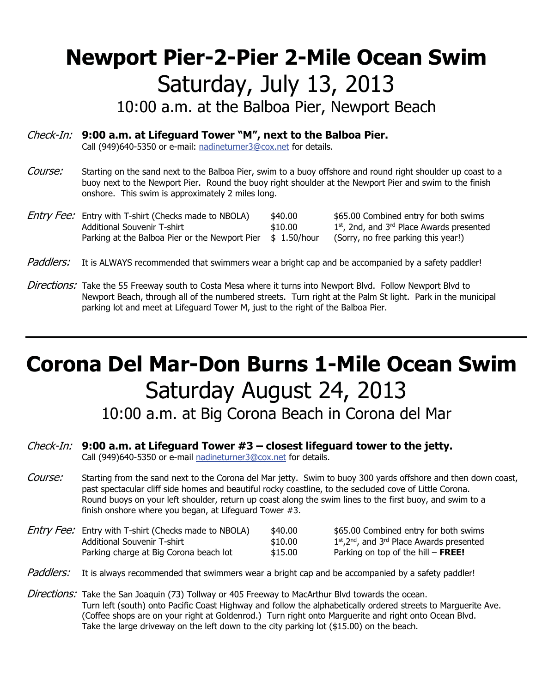# **Newport Pier-2-Pier 2-Mile Ocean Swim** Saturday, July 13, 2013

10:00 a.m. at the Balboa Pier, Newport Beach

## Check-In: **9:00 a.m. at Lifeguard Tower "M", next to the Balboa Pier.**

Call (949)640-5350 or e-mail: nadineturner3@cox.net for details.

- Course: Starting on the sand next to the Balboa Pier, swim to a buoy offshore and round right shoulder up coast to a buoy next to the Newport Pier. Round the buoy right shoulder at the Newport Pier and swim to the finish onshore. This swim is approximately 2 miles long.
- Entry Fee: Entry with T-shirt (Checks made to NBOLA) \$40.00 \$65.00 Combined entry for both swims Additional Souvenir T-shirt  $\frac{1}{3}10.00$  1st, 2nd, and 3<sup>rd</sup> Place Awards presented Parking at the Balboa Pier or the Newport Pier  $$ 1.50/hour$  (Sorry, no free parking this year!)

- Paddlers: It is ALWAYS recommended that swimmers wear a bright cap and be accompanied by a safety paddler!
- Directions: Take the 55 Freeway south to Costa Mesa where it turns into Newport Blvd. Follow Newport Blvd to Newport Beach, through all of the numbered streets. Turn right at the Palm St light. Park in the municipal parking lot and meet at Lifeguard Tower M, just to the right of the Balboa Pier.

# **Corona Del Mar-Don Burns 1-Mile Ocean Swim** Saturday August 24, 2013

10:00 a.m. at Big Corona Beach in Corona del Mar

### Check-In: **9:00 a.m. at Lifeguard Tower #3 – closest lifeguard tower to the jetty.**

Call (949)640-5350 or e-mail nadineturner3@cox.net for details.

Course: Starting from the sand next to the Corona del Mar jetty. Swim to buoy 300 yards offshore and then down coast, past spectacular cliff side homes and beautiful rocky coastline, to the secluded cove of Little Corona. Round buoys on your left shoulder, return up coast along the swim lines to the first buoy, and swim to a finish onshore where you began, at Lifeguard Tower #3.

| <i>Entry Fee:</i> Entry with T-shirt (Checks made to NBOLA) | \$40.00 | \$65.00 Combined entry for both swims            |
|-------------------------------------------------------------|---------|--------------------------------------------------|
| Additional Souvenir T-shirt                                 | \$10.00 | $1st$ , $2nd$ , and $3rd$ Place Awards presented |
| Parking charge at Big Corona beach lot                      | \$15.00 | Parking on top of the hill $-$ FREE!             |

Paddlers: It is always recommended that swimmers wear a bright cap and be accompanied by a safety paddler!

Directions: Take the San Joaquin (73) Tollway or 405 Freeway to MacArthur Blvd towards the ocean. Turn left (south) onto Pacific Coast Highway and follow the alphabetically ordered streets to Marguerite Ave. (Coffee shops are on your right at Goldenrod.) Turn right onto Marguerite and right onto Ocean Blvd. Take the large driveway on the left down to the city parking lot (\$15.00) on the beach.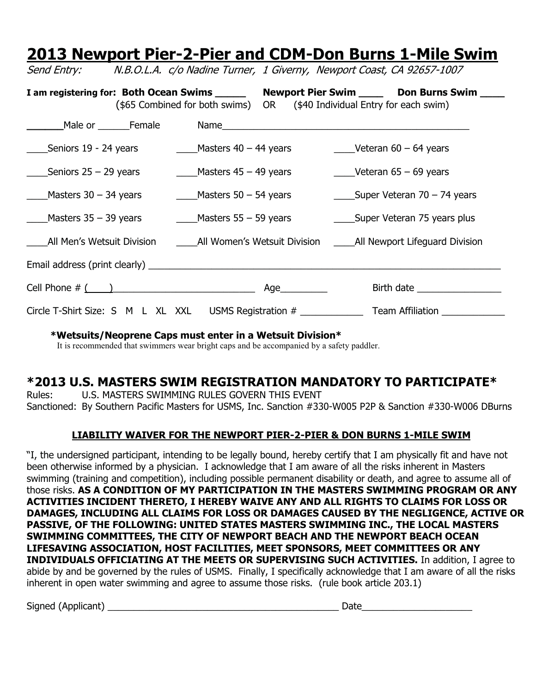## **2013 Newport Pier-2-Pier and CDM-Don Burns 1-Mile Swim** Send Entry: N.B.O.L.A. c/o Nadine Turner, 1 Giverny, Newport Coast, CA 92657-1007

I am registering for: Both Ocean Swims \_\_\_\_\_\_ Newport Pier Swim \_\_\_\_\_ Don Burns Swim \_\_\_\_ (\$65 Combined for both swims) OR (\$40 Individual Entry for each swim) **\_\_\_\_\_\_**Male or \_\_\_\_\_\_Female Name\_\_\_\_\_\_\_\_\_\_\_\_\_\_\_\_\_\_\_\_\_\_\_\_\_\_\_\_\_\_\_\_\_\_\_\_\_\_\_\_\_\_\_\_\_\_\_ \_\_\_\_Seniors 19 - 24 years \_\_\_\_Masters 40 – 44 years \_\_\_\_Veteran 60 – 64 years  $\_\_\_\$ Seniors 25 – 29 years  $\_\_\_\_\$ Masters 45 – 49 years  $\_\_\_\_\$ Veteran 65 – 69 years Masters 30 – 34 years  $\frac{1}{2}$  Masters 50 – 54 years  $\frac{1}{2}$  Super Veteran 70 – 74 years \_\_\_\_Masters 35 – 39 years \_\_\_\_Masters 55 – 59 years \_\_\_\_Super Veteran 75 years plus All Men's Wetsuit Division and All Women's Wetsuit Division **Langel All Newport Lifeguard Division** Email address (print clearly) \_\_\_\_\_\_\_\_\_\_\_\_\_\_\_\_\_\_\_\_\_\_\_\_\_\_\_\_\_\_\_\_\_\_\_\_\_\_\_\_\_\_\_\_\_\_\_\_\_\_\_\_\_\_\_\_\_\_\_\_\_\_\_\_\_\_\_ Cell Phone # ( )\_\_\_\_\_\_\_\_\_\_\_\_\_\_\_\_\_\_\_\_\_\_\_\_\_\_\_ Age\_\_\_\_\_\_\_\_\_ Birth date \_\_\_\_\_\_\_\_\_\_\_\_\_\_\_\_ Circle T-Shirt Size: S M L XL XXL USMS Registration # Team Affiliation

**\*Wetsuits/Neoprene Caps must enter in a Wetsuit Division\***

It is recommended that swimmers wear bright caps and be accompanied by a safety paddler.

## **\*2013 U.S. MASTERS SWIM REGISTRATION MANDATORY TO PARTICIPATE\***

Rules: U.S. MASTERS SWIMMING RULES GOVERN THIS EVENT Sanctioned: By Southern Pacific Masters for USMS, Inc. Sanction #330-W005 P2P & Sanction #330-W006 DBurns

### **LIABILITY WAIVER FOR THE NEWPORT PIER-2-PIER & DON BURNS 1-MILE SWIM**

"I, the undersigned participant, intending to be legally bound, hereby certify that I am physically fit and have not been otherwise informed by a physician. I acknowledge that I am aware of all the risks inherent in Masters swimming (training and competition), including possible permanent disability or death, and agree to assume all of those risks. **AS A CONDITION OF MY PARTICIPATION IN THE MASTERS SWIMMING PROGRAM OR ANY ACTIVITIES INCIDENT THERETO, I HEREBY WAIVE ANY AND ALL RIGHTS TO CLAIMS FOR LOSS OR DAMAGES, INCLUDING ALL CLAIMS FOR LOSS OR DAMAGES CAUSED BY THE NEGLIGENCE, ACTIVE OR PASSIVE, OF THE FOLLOWING: UNITED STATES MASTERS SWIMMING INC., THE LOCAL MASTERS SWIMMING COMMITTEES, THE CITY OF NEWPORT BEACH AND THE NEWPORT BEACH OCEAN LIFESAVING ASSOCIATION, HOST FACILITIES, MEET SPONSORS, MEET COMMITTEES OR ANY INDIVIDUALS OFFICIATING AT THE MEETS OR SUPERVISING SUCH ACTIVITIES.** In addition, I agree to abide by and be governed by the rules of USMS. Finally, I specifically acknowledge that I am aware of all the risks inherent in open water swimming and agree to assume those risks. (rule book article 203.1)

Signed (Applicant) \_\_\_\_\_\_\_\_\_\_\_\_\_\_\_\_\_\_\_\_\_\_\_\_\_\_\_\_\_\_\_\_\_\_\_\_\_\_\_\_\_\_\_\_ Date\_\_\_\_\_\_\_\_\_\_\_\_\_\_\_\_\_\_\_\_\_